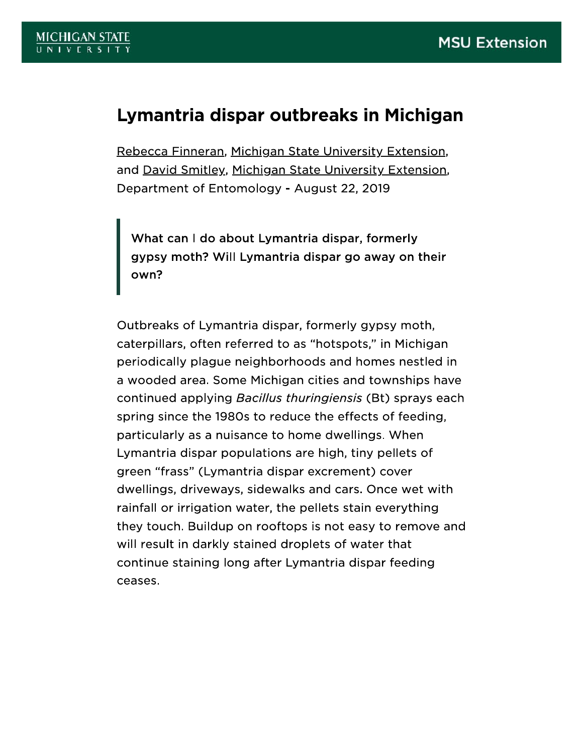## Lymantria dispar outbreaks in Michigan

Rebecca Finneran, Michigan State University Extension, and David Smitley, Michigan State University Extension, Department of Entomology - August 22, 2019

What can I do about Lymantria dispar, formerly gypsy moth? Will Lymantria dispar go away on their own?

Outbreaks of Lymantria dispar, formerly gypsy moth, caterpillars, often referred to as "hotspots," in Michigan periodically plague neighborhoods and homes nestled in a wooded area. Some Michigan cities and townships have continued applying Bacillus thuringiensis (Bt) sprays each spring since the 1980s to reduce the effects of feeding, particularly as a nuisance to home dwellings. When Lymantria dispar populations are high, tiny pellets of green "frass" (Lymantria dispar excrement) cover dwellings, driveways, sidewalks and cars. Once wet with rainfall or irrigation water, the pellets stain everything they touch. Buildup on rooftops is not easy to remove and will result in darkly stained droplets of water that continue staining long after Lymantria dispar feeding ceases.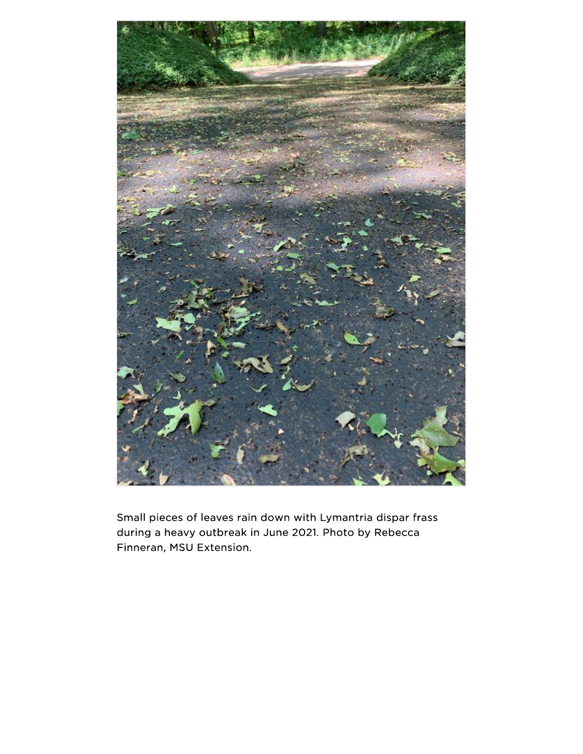

Small pieces of leaves rain down with Lymantria dispar frass during a heavy outbreak in June 2021. Photo by Rebecca Finneran, MSU Extension.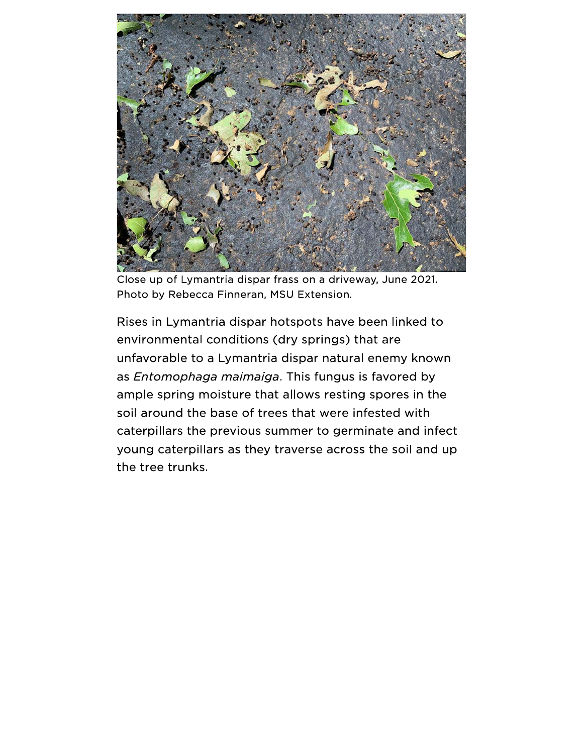

Close up of Lymantria dispar frass on a driveway, June 2021. Photo by Rebecca Finneran, MSU Extension.

Rises in Lymantria dispar hotspots have been linked to environmental conditions (dry springs) that are unfavorable to a Lymantria dispar natural enemy known as Entomophaga maimaiga. This fungus is favored by ample spring moisture that allows resting spores in the soil around the base of trees that were infested with caterpillars the previous summer to germinate and infect young caterpillars as they traverse across the soil and up the tree trunks.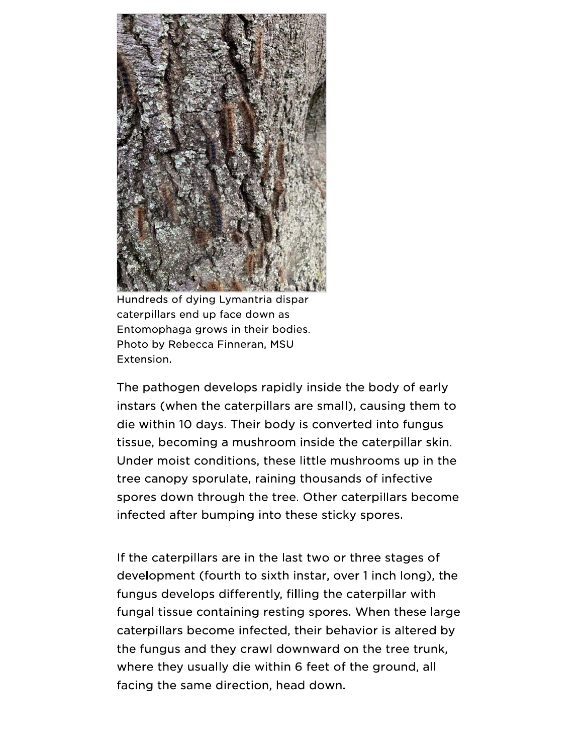

Hundreds of dying Lymantria dispar caterpillars end up face down as Entomophaga grows in their bodies. Photo by Rebecca Finneran, MSU Extension.

The pathogen develops rapidly inside the body of early instars (when the caterpillars are small), causing them to die within 10 days. Their body is converted into fungus tissue, becoming a mushroom inside the caterpillar skin. Under moist conditions, these little mushrooms up in the tree canopy sporulate, raining thousands of infective spores down through the tree. Other caterpillars become infected after bumping into these sticky spores.

If the caterpillars are in the last two or three stages of development (fourth to sixth instar, over 1 inch long), the fungus develops differently, filling the caterpillar with fungal tissue containing resting spores. When these large caterpillars become infected, their behavior is altered by the fungus and they crawl downward on the tree trunk, where they usually die within 6 feet of the ground, all facing the same direction, head down.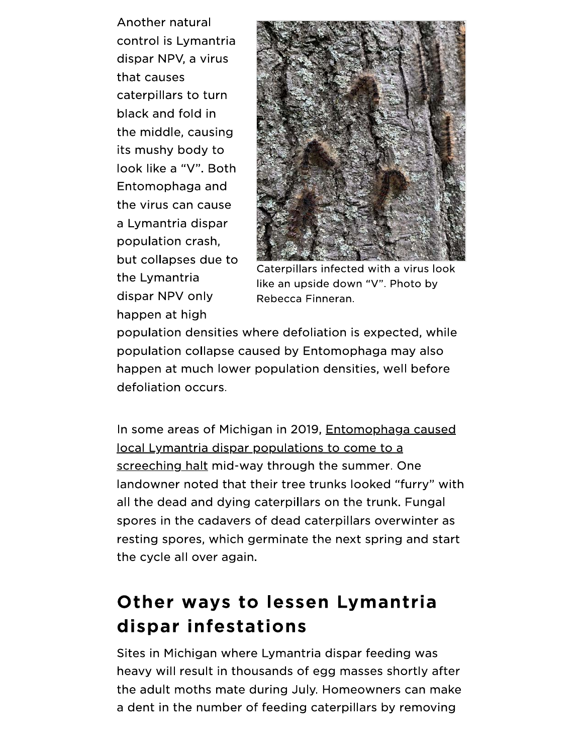Another natural control is Lymantria dispar NPV, a virus that causes caterpillars to turn black and fold in the middle, causing its mushy body to look like a "V". Both Entomophaga and the virus can cause a Lymantria dispar population crash. but collapses due to the Lymantria dispar NPV only happen at high



Caterpillars infected with a virus look like an upside down "V". Photo by Rebecca Finneran.

population densities where defoliation is expected, while population collapse caused by Entomophaga may also happen at much lower population densities, well before defoliation occurs.

In some areas of Michigan in 2019, Entomophaga caused local Lymantria dispar populations to come to a screeching halt mid-way through the summer. One landowner noted that their tree trunks looked "furry" with all the dead and dying caterpillars on the trunk. Fungal spores in the cadavers of dead caterpillars overwinter as resting spores, which germinate the next spring and start the cycle all over again.

## Other ways to lessen Lymantria dispar infestations

Sites in Michigan where Lymantria dispar feeding was heavy will result in thousands of egg masses shortly after the adult moths mate during July. Homeowners can make a dent in the number of feeding caterpillars by removing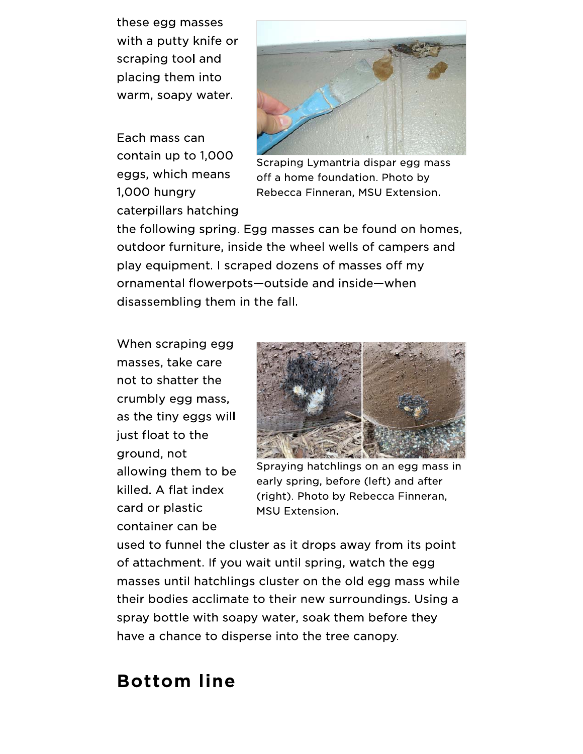these egg masses with a putty knife or scraping tool and placing them into warm, soapy water.

Each mass can contain up to 1,000 eggs, which means 1,000 hungry caterpillars hatching



Scraping Lymantria dispar egg mass off a home foundation. Photo by Rebecca Finneran, MSU Extension.

the following spring. Egg masses can be found on homes, outdoor furniture, inside the wheel wells of campers and play equipment. I scraped dozens of masses off my ornamental flowerpots-outside and inside-when disassembling them in the fall.

When scraping egg masses, take care not to shatter the crumbly egg mass, as the tiny eggs will just float to the ground, not allowing them to be killed. A flat index card or plastic container can be



Spraying hatchlings on an egg mass in early spring, before (left) and after (right). Photo by Rebecca Finneran, **MSU Extension.** 

used to funnel the cluster as it drops away from its point of attachment. If you wait until spring, watch the egg masses until hatchlings cluster on the old egg mass while their bodies acclimate to their new surroundings. Using a spray bottle with soapy water, soak them before they have a chance to disperse into the tree canopy.

## **Bottom line**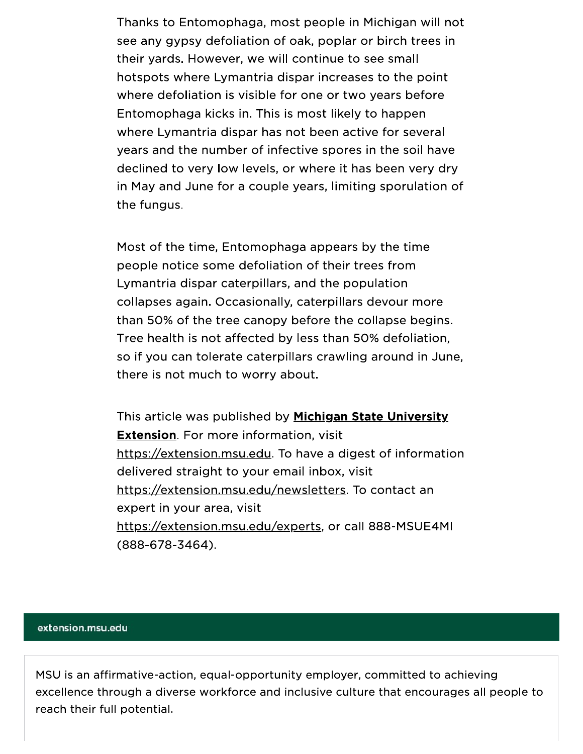Thanks to Entomophaga, most people in Michigan will not see any gypsy defoliation of oak, poplar or birch trees in their yards. However, we will continue to see small hotspots where Lymantria dispar increases to the point where defoliation is visible for one or two years before Entomophaga kicks in. This is most likely to happen where Lymantria dispar has not been active for several years and the number of infective spores in the soil have declined to very low levels, or where it has been very dry in May and June for a couple years, limiting sporulation of the fungus.

Most of the time, Entomophaga appears by the time people notice some defoliation of their trees from Lymantria dispar caterpillars, and the population collapses again. Occasionally, caterpillars devour more than 50% of the tree canopy before the collapse begins. Tree health is not affected by less than 50% defoliation, so if you can tolerate caterpillars crawling around in June, there is not much to worry about.

This article was published by Michigan State University **Extension.** For more information, visit https://extension.msu.edu. To have a digest of information delivered straight to your email inbox, visit https://extension.msu.edu/newsletters. To contact an expert in your area, visit https://extension.msu.edu/experts, or call 888-MSUE4MI  $(888-678-3464).$ 

## extension.msu.edu

MSU is an affirmative-action, equal-opportunity employer, committed to achieving excellence through a diverse workforce and inclusive culture that encourages all people to reach their full potential.